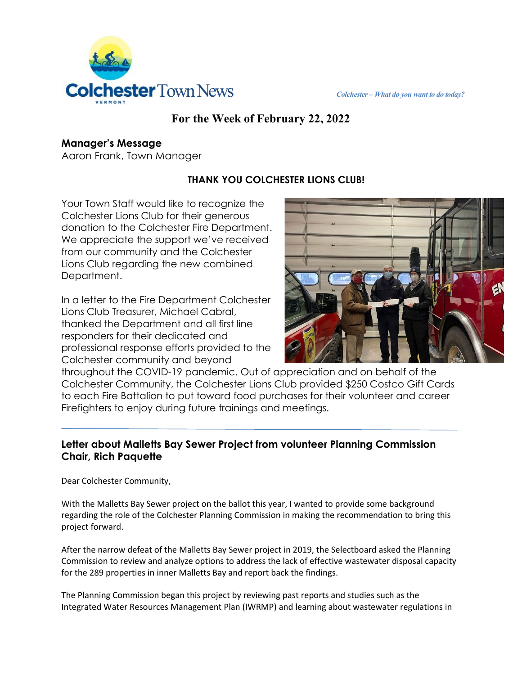

# **For the Week of February 22, 2022**

#### **Manager's Message**

Aaron Frank, Town Manager

## **THANK YOU COLCHESTER LIONS CLUB!**

Your Town Staff would like to recognize the Colchester Lions Club for their generous donation to the Colchester Fire Department. We appreciate the support we've received from our community and the Colchester Lions Club regarding the new combined Department.

In a letter to the Fire Department Colchester Lions Club Treasurer, Michael Cabral, thanked the Department and all first line responders for their dedicated and professional response efforts provided to the Colchester community and beyond



throughout the COVID-19 pandemic. Out of appreciation and on behalf of the Colchester Community, the Colchester Lions Club provided \$250 Costco Gift Cards to each Fire Battalion to put toward food purchases for their volunteer and career Firefighters to enjoy during future trainings and meetings.

### **Letter about Malletts Bay Sewer Project from volunteer Planning Commission Chair, Rich Paquette**

Dear Colchester Community,

With the Malletts Bay Sewer project on the ballot this year, I wanted to provide some background regarding the role of the Colchester Planning Commission in making the recommendation to bring this project forward.

After the narrow defeat of the Malletts Bay Sewer project in 2019, the Selectboard asked the Planning Commission to review and analyze options to address the lack of effective wastewater disposal capacity for the 289 properties in inner Malletts Bay and report back the findings.

The Planning Commission began this project by reviewing past reports and studies such as the Integrated Water Resources Management Plan (IWRMP) and learning about wastewater regulations in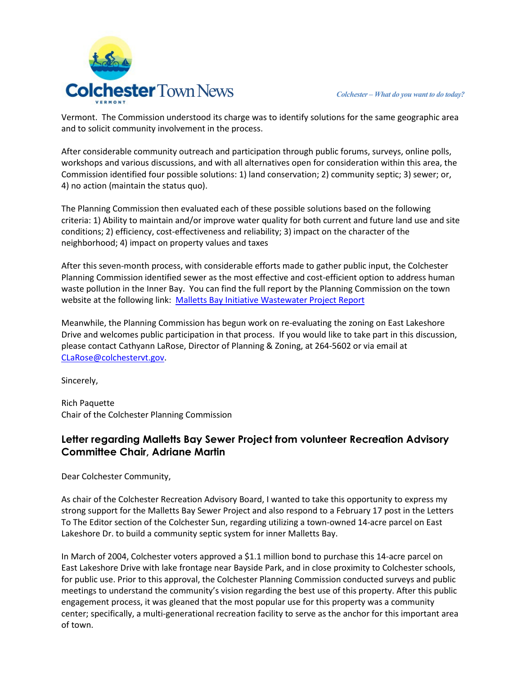

Vermont. The Commission understood its charge was to identify solutions for the same geographic area and to solicit community involvement in the process.

After considerable community outreach and participation through public forums, surveys, online polls, workshops and various discussions, and with all alternatives open for consideration within this area, the Commission identified four possible solutions: 1) land conservation; 2) community septic; 3) sewer; or, 4) no action (maintain the status quo).

The Planning Commission then evaluated each of these possible solutions based on the following criteria: 1) Ability to maintain and/or improve water quality for both current and future land use and site conditions; 2) efficiency, cost-effectiveness and reliability; 3) impact on the character of the neighborhood; 4) impact on property values and taxes

After this seven-month process, with considerable efforts made to gather public input, the Colchester Planning Commission identified sewer as the most effective and cost-efficient option to address human waste pollution in the Inner Bay. You can find the full report by the Planning Commission on the town website at the following link: [Malletts Bay Initiative Wastewater Project Report](https://clerkshq.com/Content/Attachments/Colchester-vt/200114_07a.pdf?clientSite=Colchester-vt) 

Meanwhile, the Planning Commission has begun work on re-evaluating the zoning on East Lakeshore Drive and welcomes public participation in that process. If you would like to take part in this discussion, please contact Cathyann LaRose, Director of Planning & Zoning, at 264-5602 or via email at [CLaRose@colchestervt.gov.](mailto:CLaRose@colchestervt.gov)

Sincerely,

Rich Paquette Chair of the Colchester Planning Commission

### **Letter regarding Malletts Bay Sewer Project from volunteer Recreation Advisory Committee Chair, Adriane Martin**

Dear Colchester Community,

As chair of the Colchester Recreation Advisory Board, I wanted to take this opportunity to express my strong support for the Malletts Bay Sewer Project and also respond to a February 17 post in the Letters To The Editor section of the Colchester Sun, regarding utilizing a town-owned 14-acre parcel on East Lakeshore Dr. to build a community septic system for inner Malletts Bay.

In March of 2004, Colchester voters approved a \$1.1 million bond to purchase this 14-acre parcel on East Lakeshore Drive with lake frontage near Bayside Park, and in close proximity to Colchester schools, for public use. Prior to this approval, the Colchester Planning Commission conducted surveys and public meetings to understand the community's vision regarding the best use of this property. After this public engagement process, it was gleaned that the most popular use for this property was a community center; specifically, a multi-generational recreation facility to serve as the anchor for this important area of town.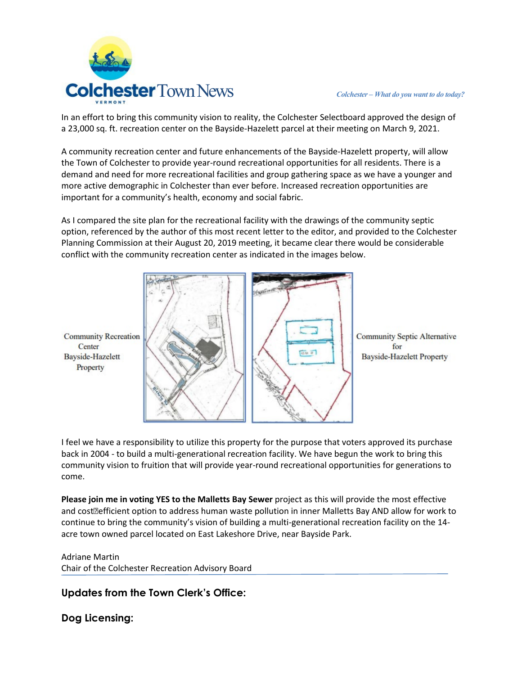

In an effort to bring this community vision to reality, the Colchester Selectboard approved the design of a 23,000 sq. ft. recreation center on the Bayside-Hazelett parcel at their meeting on March 9, 2021.

A community recreation center and future enhancements of the Bayside-Hazelett property, will allow the Town of Colchester to provide year-round recreational opportunities for all residents. There is a demand and need for more recreational facilities and group gathering space as we have a younger and more active demographic in Colchester than ever before. Increased recreation opportunities are important for a community's health, economy and social fabric.

As I compared the site plan for the recreational facility with the drawings of the community septic option, referenced by the author of this most recent letter to the editor, and provided to the Colchester Planning Commission at their August 20, 2019 meeting, it became clear there would be considerable conflict with the community recreation center as indicated in the images below.



**Community Septic Alternative** for **Bayside-Hazelett Property** 

I feel we have a responsibility to utilize this property for the purpose that voters approved its purchase back in 2004 - to build a multi-generational recreation facility. We have begun the work to bring this community vision to fruition that will provide year-round recreational opportunities for generations to come.

**Please join me in voting YES to the Malletts Bay Sewer** project as this will provide the most effective and cost**<b>efficient option to address human waste pollution in inner Malletts Bay AND allow for work to** continue to bring the community's vision of building a multi-generational recreation facility on the 14 acre town owned parcel located on East Lakeshore Drive, near Bayside Park.

Adriane Martin Chair of the Colchester Recreation Advisory Board

#### **Updates from the Town Clerk's Office:**

**Dog Licensing:**

Center

Property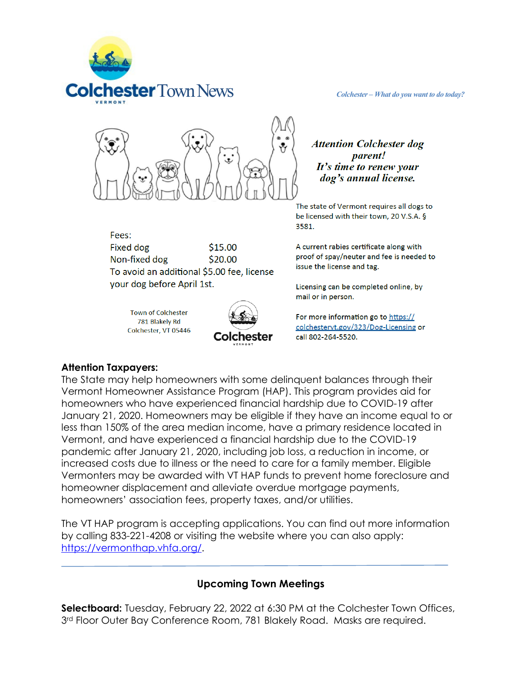



Fees: **Fixed dog** \$15.00 Non-fixed dog \$20.00 To avoid an additional \$5.00 fee, license your dog before April 1st.

> **Town of Colchester** 781 Blakely Rd Colchester, VT 05446



**Attention Colchester dog** *parent!* It's time to renew your dog's annual license.

The state of Vermont requires all dogs to be licensed with their town, 20 V.S.A. § 3581.

A current rabies certificate along with proof of spay/neuter and fee is needed to issue the license and tag.

Licensing can be completed online, by mail or in person.

For more information go to https:// colchesteryt.gov/323/Dog-Licensing or call 802-264-5520.

#### **Attention Taxpayers:**

The State may help homeowners with some delinquent balances through their Vermont Homeowner Assistance Program (HAP). This program provides aid for homeowners who have experienced financial hardship due to COVID-19 after January 21, 2020. Homeowners may be eligible if they have an income equal to or less than 150% of the area median income, have a primary residence located in Vermont, and have experienced a financial hardship due to the COVID-19 pandemic after January 21, 2020, including job loss, a reduction in income, or increased costs due to illness or the need to care for a family member. Eligible Vermonters may be awarded with VT HAP funds to prevent home foreclosure and homeowner displacement and alleviate overdue mortgage payments, homeowners' association fees, property taxes, and/or utilities.

The VT HAP program is accepting applications. You can find out more information by calling 833-221-4208 or visiting the website where you can also apply: [https://vermonthap.vhfa.org/.](https://vermonthap.vhfa.org/)

#### **Upcoming Town Meetings**

**Selectboard:** Tuesday, February 22, 2022 at 6:30 PM at the Colchester Town Offices, 3<sup>rd</sup> Floor Outer Bay Conference Room, 781 Blakely Road. Masks are required.